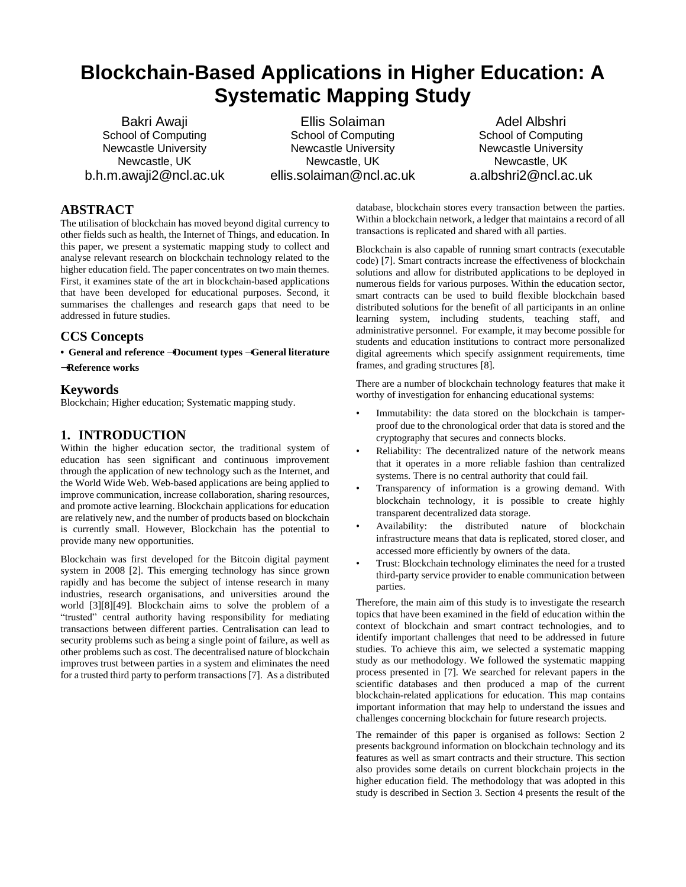# **Blockchain-Based Applications in Higher Education: A Systematic Mapping Study**

Bakri Awaji School of Computing Newcastle University Newcastle, UK b.h.m.awaji2@ncl.ac.uk

Ellis Solaiman School of Computing Newcastle University Newcastle, UK ellis.solaiman@ncl.ac.uk

Adel Albshri School of Computing Newcastle University Newcastle, UK a.albshri2@ncl.ac.uk

# **ABSTRACT**

The utilisation of blockchain has moved beyond digital currency to other fields such as health, the Internet of Things, and education. In this paper, we present a systematic mapping study to collect and analyse relevant research on blockchain technology related to the higher education field. The paper concentrates on two main themes. First, it examines state of the art in blockchain-based applications that have been developed for educational purposes. Second, it summarises the challenges and research gaps that need to be addressed in future studies.

## **CCS Concepts**

**• General and reference** ➝**Document types** ➝**General literature** 

➝**Reference works**

## **Keywords**

Blockchain; Higher education; Systematic mapping study.

# **1. INTRODUCTION**

Within the higher education sector, the traditional system of education has seen significant and continuous improvement through the application of new technology such as the Internet, and the World Wide Web. Web-based applications are being applied to improve communication, increase collaboration, sharing resources, and promote active learning. Blockchain applications for education are relatively new, and the number of products based on blockchain is currently small. However, Blockchain has the potential to provide many new opportunities.

Blockchain was first developed for the Bitcoin digital payment system in 2008 [2]. This emerging technology has since grown rapidly and has become the subject of intense research in many industries, research organisations, and universities around the world [3][8][49]. Blockchain aims to solve the problem of a "trusted" central authority having responsibility for mediating transactions between different parties. Centralisation can lead to security problems such as being a single point of failure, as well as other problems such as cost. The decentralised nature of blockchain improves trust between parties in a system and eliminates the need for a trusted third party to perform transactions [7]. As a distributed

database, blockchain stores every transaction between the parties. Within a blockchain network, a ledger that maintains a record of all transactions is replicated and shared with all parties.

Blockchain is also capable of running smart contracts (executable code) [7]. Smart contracts increase the effectiveness of blockchain solutions and allow for distributed applications to be deployed in numerous fields for various purposes. Within the education sector, smart contracts can be used to build flexible blockchain based distributed solutions for the benefit of all participants in an online learning system, including students, teaching staff, and administrative personnel. For example, it may become possible for students and education institutions to contract more personalized digital agreements which specify assignment requirements, time frames, and grading structures [8].

There are a number of blockchain technology features that make it worthy of investigation for enhancing educational systems:

- Immutability: the data stored on the blockchain is tamperproof due to the chronological order that data is stored and the cryptography that secures and connects blocks.
- Reliability: The decentralized nature of the network means that it operates in a more reliable fashion than centralized systems. There is no central authority that could fail.
- Transparency of information is a growing demand. With blockchain technology, it is possible to create highly transparent decentralized data storage.
- Availability: the distributed nature of blockchain infrastructure means that data is replicated, stored closer, and accessed more efficiently by owners of the data.
- Trust: Blockchain technology eliminates the need for a trusted third-party service provider to enable communication between parties.

Therefore, the main aim of this study is to investigate the research topics that have been examined in the field of education within the context of blockchain and smart contract technologies, and to identify important challenges that need to be addressed in future studies. To achieve this aim, we selected a systematic mapping study as our methodology. We followed the systematic mapping process presented in [7]. We searched for relevant papers in the scientific databases and then produced a map of the current blockchain-related applications for education. This map contains important information that may help to understand the issues and challenges concerning blockchain for future research projects.

The remainder of this paper is organised as follows: Section 2 presents background information on blockchain technology and its features as well as smart contracts and their structure. This section also provides some details on current blockchain projects in the higher education field. The methodology that was adopted in this study is described in Section 3. Section 4 presents the result of the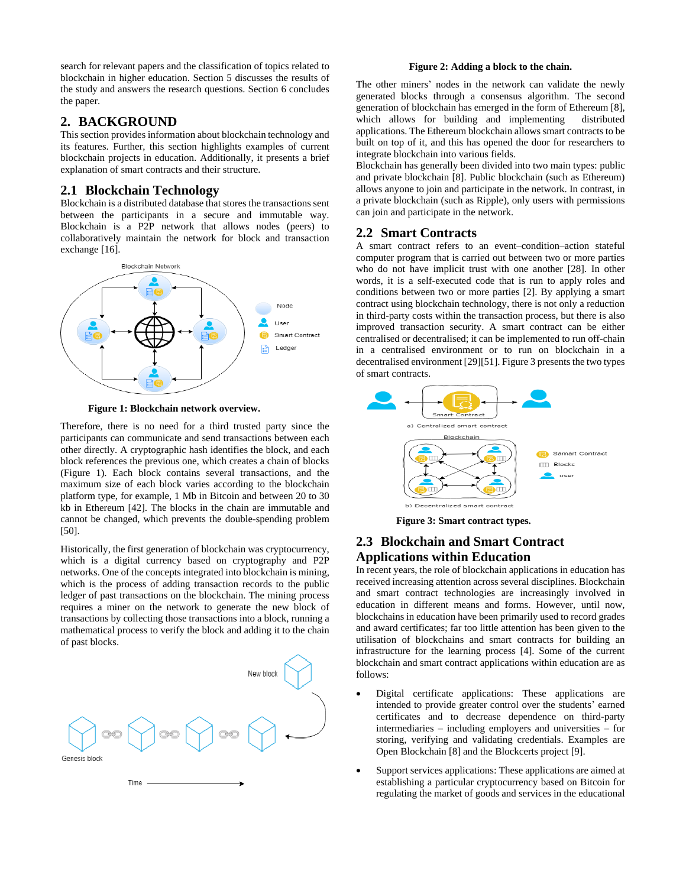search for relevant papers and the classification of topics related to blockchain in higher education. Section 5 discusses the results of the study and answers the research questions. Section 6 concludes the paper.

## **2. BACKGROUND**

This section provides information about blockchain technology and its features. Further, this section highlights examples of current blockchain projects in education. Additionally, it presents a brief explanation of smart contracts and their structure.

## **2.1 Blockchain Technology**

Blockchain is a distributed database that stores the transactions sent between the participants in a secure and immutable way. Blockchain is a P2P network that allows nodes (peers) to collaboratively maintain the network for block and transaction exchange [16].



 **Figure 1: Blockchain network overview.**

Therefore, there is no need for a third trusted party since the participants can communicate and send transactions between each other directly. A cryptographic hash identifies the block, and each block references the previous one, which creates a chain of blocks (Figure 1). Each block contains several transactions, and the maximum size of each block varies according to the blockchain platform type, for example, 1 Mb in Bitcoin and between 20 to 30 kb in Ethereum [42]. The blocks in the chain are immutable and cannot be changed, which prevents the double-spending problem [50].

Historically, the first generation of blockchain was cryptocurrency, which is a digital currency based on cryptography and P2P networks. One of the concepts integrated into blockchain is mining, which is the process of adding transaction records to the public ledger of past transactions on the blockchain. The mining process requires a miner on the network to generate the new block of transactions by collecting those transactions into a block, running a mathematical process to verify the block and adding it to the chain of past blocks.



#### **Figure 2: Adding a block to the chain.**

The other miners' nodes in the network can validate the newly generated blocks through a consensus algorithm. The second generation of blockchain has emerged in the form of Ethereum [8], which allows for building and implementing distributed applications. The Ethereum blockchain allows smart contracts to be built on top of it, and this has opened the door for researchers to integrate blockchain into various fields.

Blockchain has generally been divided into two main types: public and private blockchain [8]. Public blockchain (such as Ethereum) allows anyone to join and participate in the network. In contrast, in a private blockchain (such as Ripple), only users with permissions can join and participate in the network.

## **2.2 Smart Contracts**

A smart contract refers to an event–condition–action stateful computer program that is carried out between two or more parties who do not have implicit trust with one another [28]. In other words, it is a self-executed code that is run to apply roles and conditions between two or more parties [2]. By applying a smart contract using blockchain technology, there is not only a reduction in third-party costs within the transaction process, but there is also improved transaction security. A smart contract can be either centralised or decentralised; it can be implemented to run off-chain in a centralised environment or to run on blockchain in a decentralised environment [29][51]. Figure 3 presents the two types of smart contracts.



**Figure 3: Smart contract types.**

# **2.3 Blockchain and Smart Contract Applications within Education**

In recent years, the role of blockchain applications in education has received increasing attention across several disciplines. Blockchain and smart contract technologies are increasingly involved in education in different means and forms. However, until now, blockchains in education have been primarily used to record grades and award certificates; far too little attention has been given to the utilisation of blockchains and smart contracts for building an infrastructure for the learning process [4]. Some of the current blockchain and smart contract applications within education are as follows:

- Digital certificate applications: These applications are intended to provide greater control over the students' earned certificates and to decrease dependence on third-party intermediaries – including employers and universities – for storing, verifying and validating credentials. Examples are Open Blockchain [8] and the Blockcerts project [9].
- Support services applications: These applications are aimed at establishing a particular cryptocurrency based on Bitcoin for regulating the market of goods and services in the educational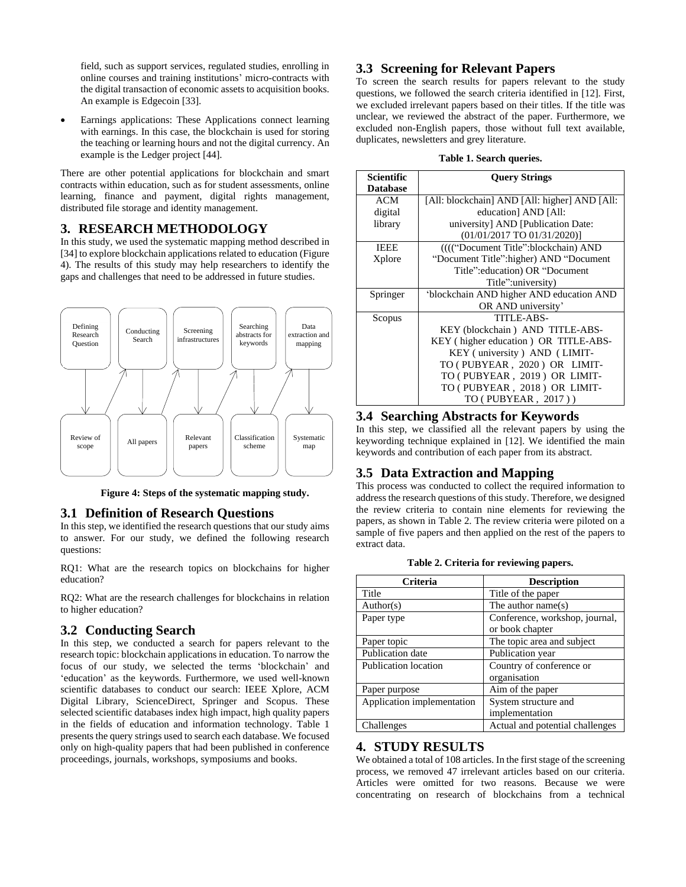field, such as support services, regulated studies, enrolling in online courses and training institutions' micro-contracts with the digital transaction of economic assets to acquisition books. An example is Edgecoin [33].

 Earnings applications: These Applications connect learning with earnings. In this case, the blockchain is used for storing the teaching or learning hours and not the digital currency. An example is the Ledger project [44].

There are other potential applications for blockchain and smart contracts within education, such as for student assessments, online learning, finance and payment, digital rights management, distributed file storage and identity management.

## **3. RESEARCH METHODOLOGY**

In this study, we used the systematic mapping method described in [34] to explore blockchain applications related to education (Figure 4). The results of this study may help researchers to identify the gaps and challenges that need to be addressed in future studies.



**Figure 4: Steps of the systematic mapping study.**

#### **3.1 Definition of Research Questions**

In this step, we identified the research questions that our study aims to answer. For our study, we defined the following research questions:

RQ1: What are the research topics on blockchains for higher education?

RQ2: What are the research challenges for blockchains in relation to higher education?

## **3.2 Conducting Search**

In this step, we conducted a search for papers relevant to the research topic: blockchain applications in education. To narrow the focus of our study, we selected the terms 'blockchain' and 'education' as the keywords. Furthermore, we used well-known scientific databases to conduct our search: IEEE Xplore, ACM Digital Library, ScienceDirect, Springer and Scopus. These selected scientific databases index high impact, high quality papers in the fields of education and information technology. Table 1 presents the query strings used to search each database. We focused only on high-quality papers that had been published in conference proceedings, journals, workshops, symposiums and books.

## **3.3 Screening for Relevant Papers**

To screen the search results for papers relevant to the study questions, we followed the search criteria identified in [12]. First, we excluded irrelevant papers based on their titles. If the title was unclear, we reviewed the abstract of the paper. Furthermore, we excluded non-English papers, those without full text available, duplicates, newsletters and grey literature.

#### **Table 1. Search queries.**

| Scientific      | <b>Query Strings</b>                          |  |  |  |
|-----------------|-----------------------------------------------|--|--|--|
| <b>Database</b> |                                               |  |  |  |
| ACM             | [All: blockchain] AND [All: higher] AND [All: |  |  |  |
| digital         | education] AND [All:                          |  |  |  |
| library         | university] AND [Publication Date:            |  |  |  |
|                 | $(01/01/2017$ TO $01/31/2020)$ ]              |  |  |  |
| <b>IEEE</b>     | (((("Document Title":blockchain) AND          |  |  |  |
| Xplore          | "Document Title": higher) AND "Document       |  |  |  |
|                 | Title": education) OR "Document"              |  |  |  |
|                 | Title":university)                            |  |  |  |
| Springer        | 'blockchain AND higher AND education AND      |  |  |  |
|                 | OR AND university'                            |  |  |  |
| Scopus          | TITLE-ABS-                                    |  |  |  |
|                 | KEY (blockchain) AND TITLE-ABS-               |  |  |  |
|                 | KEY (higher education) OR TITLE-ABS-          |  |  |  |
|                 | KEY (university) AND (LIMIT-                  |  |  |  |
|                 | TO (PUBYEAR, 2020) OR LIMIT-                  |  |  |  |
|                 | TO (PUBYEAR, 2019) OR LIMIT-                  |  |  |  |
|                 | TO (PUBYEAR, 2018) OR LIMIT-                  |  |  |  |
|                 | TO (PUBYEAR, 2017))                           |  |  |  |

## **3.4 Searching Abstracts for Keywords**

In this step, we classified all the relevant papers by using the keywording technique explained in [12]. We identified the main keywords and contribution of each paper from its abstract.

# **3.5 Data Extraction and Mapping**

This process was conducted to collect the required information to address the research questions of this study. Therefore, we designed the review criteria to contain nine elements for reviewing the papers, as shown in Table 2. The review criteria were piloted on a sample of five papers and then applied on the rest of the papers to extract data.

|  | Table 2. Criteria for reviewing papers. |  |
|--|-----------------------------------------|--|
|  |                                         |  |

| Criteria                   | <b>Description</b>              |  |  |
|----------------------------|---------------------------------|--|--|
| Title                      | Title of the paper              |  |  |
| Author(s)                  | The author name(s)              |  |  |
| Paper type                 | Conference, workshop, journal,  |  |  |
|                            | or book chapter                 |  |  |
| Paper topic                | The topic area and subject      |  |  |
| Publication date           | Publication year                |  |  |
| Publication location       | Country of conference or        |  |  |
|                            | organisation                    |  |  |
| Paper purpose              | Aim of the paper                |  |  |
| Application implementation | System structure and            |  |  |
|                            | implementation                  |  |  |
| Challenges                 | Actual and potential challenges |  |  |

# **4. STUDY RESULTS**

We obtained a total of 108 articles. In the first stage of the screening process, we removed 47 irrelevant articles based on our criteria. Articles were omitted for two reasons. Because we were concentrating on research of blockchains from a technical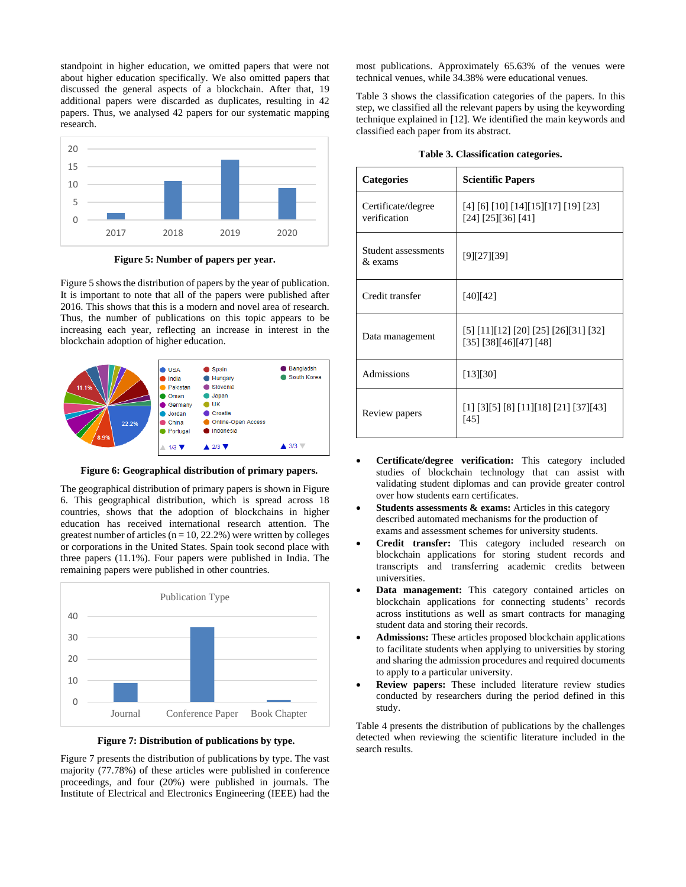standpoint in higher education, we omitted papers that were not about higher education specifically. We also omitted papers that discussed the general aspects of a blockchain. After that, 19 additional papers were discarded as duplicates, resulting in 42 papers. Thus, we analysed 42 papers for our systematic mapping research.



**Figure 5: Number of papers per year.**

Figure 5 shows the distribution of papers by the year of publication. It is important to note that all of the papers were published after 2016. This shows that this is a modern and novel area of research. Thus, the number of publications on this topic appears to be increasing each year, reflecting an increase in interest in the blockchain adoption of higher education.



**Figure 6: Geographical distribution of primary papers.**

The geographical distribution of primary papers is shown in Figure 6. This geographical distribution, which is spread across 18 countries, shows that the adoption of blockchains in higher education has received international research attention. The greatest number of articles ( $n = 10, 22.2\%$ ) were written by colleges or corporations in the United States. Spain took second place with three papers (11.1%). Four papers were published in India. The remaining papers were published in other countries.



**Figure 7: Distribution of publications by type.**

Figure 7 presents the distribution of publications by type. The vast majority (77.78%) of these articles were published in conference proceedings, and four (20%) were published in journals. The Institute of Electrical and Electronics Engineering (IEEE) had the

most publications. Approximately 65.63% of the venues were technical venues, while 34.38% were educational venues.

Table 3 shows the classification categories of the papers. In this step, we classified all the relevant papers by using the keywording technique explained in [12]. We identified the main keywords and classified each paper from its abstract.

|  | Table 3. Classification categories. |  |
|--|-------------------------------------|--|
|--|-------------------------------------|--|

| <b>Categories</b>                  | <b>Scientific Papers</b>                                         |  |  |
|------------------------------------|------------------------------------------------------------------|--|--|
| Certificate/degree<br>verification | [4] [6] [10] [14] [15] [17] [19] [23]<br>[24] [25][36] [41]      |  |  |
| Student assessments<br>& exams     | [9][27][39]                                                      |  |  |
| Credit transfer                    | [40][42]                                                         |  |  |
| Data management                    | [5] [11][12] [20] [25] [26][31] [32]<br>[35] [38] [46] [47] [48] |  |  |
| Admissions                         | [13][30]                                                         |  |  |
| Review papers                      | [1] [3][5] [8] [11][18] [21] [37][43]<br>[45]                    |  |  |

- **Certificate/degree verification:** This category included studies of blockchain technology that can assist with validating student diplomas and can provide greater control over how students earn certificates.
- **Students assessments & exams:** Articles in this category described automated mechanisms for the production of exams and assessment schemes for university students.
- **Credit transfer:** This category included research on blockchain applications for storing student records and transcripts and transferring academic credits between universities.
- **Data management:** This category contained articles on blockchain applications for connecting students' records across institutions as well as smart contracts for managing student data and storing their records.
- **Admissions:** These articles proposed blockchain applications to facilitate students when applying to universities by storing and sharing the admission procedures and required documents to apply to a particular university.
- **Review papers:** These included literature review studies conducted by researchers during the period defined in this study.

Table 4 presents the distribution of publications by the challenges detected when reviewing the scientific literature included in the search results.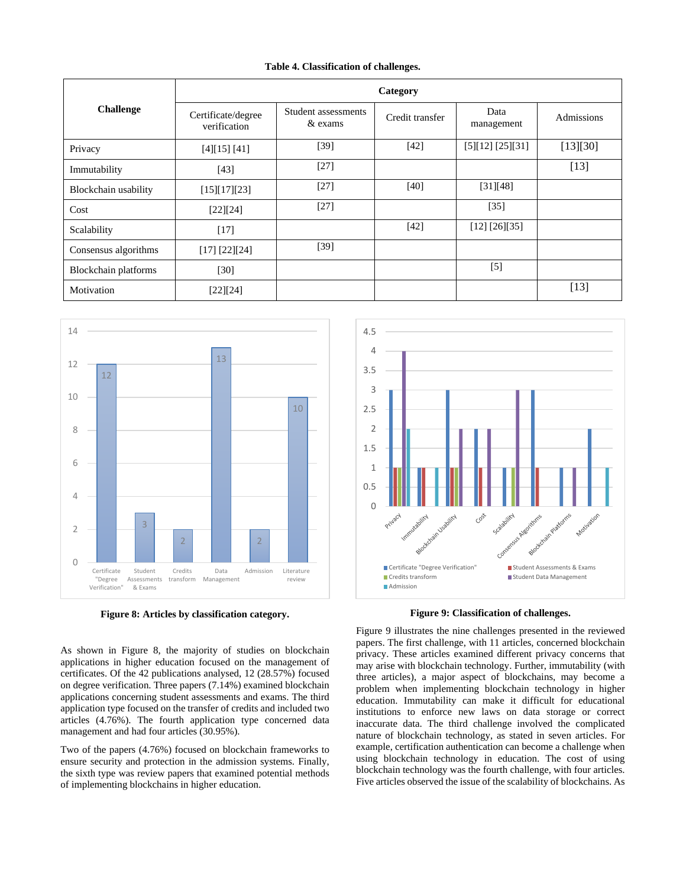#### **Table 4. Classification of challenges.**

| <b>Challenge</b>     | Category                           |                                |                 |                    |            |
|----------------------|------------------------------------|--------------------------------|-----------------|--------------------|------------|
|                      | Certificate/degree<br>verification | Student assessments<br>& exams | Credit transfer | Data<br>management | Admissions |
| Privacy              | [4][15][41]                        | [39]                           | $[42]$          | [5][12][25][31]    | [13][30]   |
| Immutability         | [43]                               | $[27]$                         |                 |                    | $[13]$     |
| Blockchain usability | [15][17][23]                       | $[27]$                         | [40]            | [31][48]           |            |
| Cost                 | [22][24]                           | $[27]$                         |                 | $[35]$             |            |
| Scalability          | $[17]$                             |                                | [42]            | [12] [26][35]      |            |
| Consensus algorithms | [17] [22] [24]                     | [39]                           |                 |                    |            |
| Blockchain platforms | $[30]$                             |                                |                 | $[5]$              |            |
| Motivation           | [22][24]                           |                                |                 |                    | $[13]$     |



**Figure 8: Articles by classification category.**

As shown in Figure 8, the majority of studies on blockchain applications in higher education focused on the management of certificates. Of the 42 publications analysed, 12 (28.57%) focused on degree verification. Three papers (7.14%) examined blockchain applications concerning student assessments and exams. The third application type focused on the transfer of credits and included two articles (4.76%). The fourth application type concerned data management and had four articles (30.95%).

Two of the papers (4.76%) focused on blockchain frameworks to ensure security and protection in the admission systems. Finally, the sixth type was review papers that examined potential methods of implementing blockchains in higher education.



**Figure 9: Classification of challenges.**

Figure 9 illustrates the nine challenges presented in the reviewed papers. The first challenge, with 11 articles, concerned blockchain privacy. These articles examined different privacy concerns that may arise with blockchain technology. Further, immutability (with three articles), a major aspect of blockchains, may become a problem when implementing blockchain technology in higher education. Immutability can make it difficult for educational institutions to enforce new laws on data storage or correct inaccurate data. The third challenge involved the complicated nature of blockchain technology, as stated in seven articles. For example, certification authentication can become a challenge when using blockchain technology in education. The cost of using blockchain technology was the fourth challenge, with four articles. Five articles observed the issue of the scalability of blockchains. As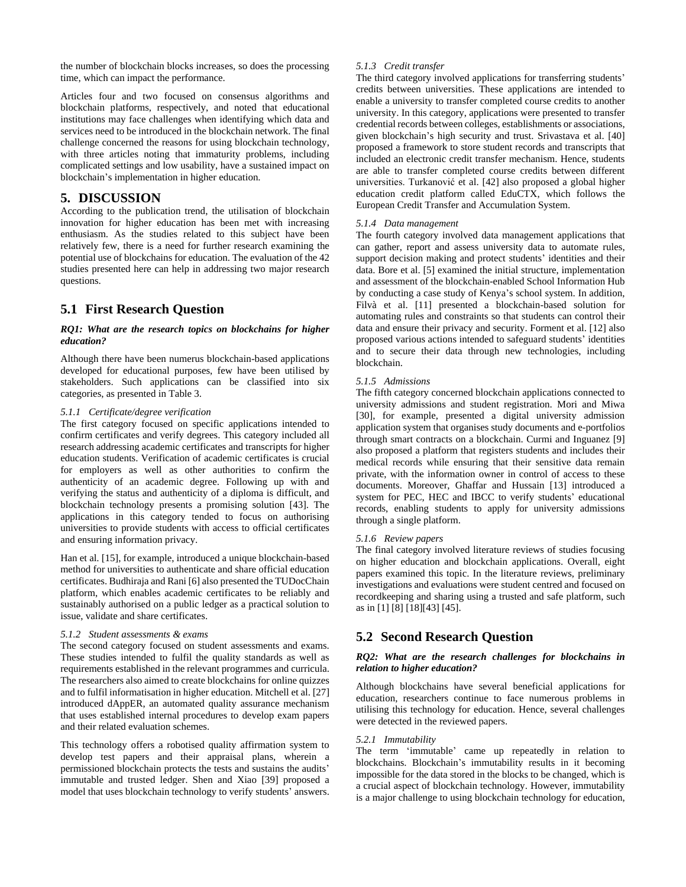the number of blockchain blocks increases, so does the processing time, which can impact the performance.

Articles four and two focused on consensus algorithms and blockchain platforms, respectively, and noted that educational institutions may face challenges when identifying which data and services need to be introduced in the blockchain network. The final challenge concerned the reasons for using blockchain technology, with three articles noting that immaturity problems, including complicated settings and low usability, have a sustained impact on blockchain's implementation in higher education.

## **5. DISCUSSION**

According to the publication trend, the utilisation of blockchain innovation for higher education has been met with increasing enthusiasm. As the studies related to this subject have been relatively few, there is a need for further research examining the potential use of blockchains for education. The evaluation of the 42 studies presented here can help in addressing two major research questions.

# **5.1 First Research Question**

#### *RQ1: What are the research topics on blockchains for higher education?*

Although there have been numerus blockchain-based applications developed for educational purposes, few have been utilised by stakeholders. Such applications can be classified into six categories, as presented in Table 3.

#### *5.1.1 Certificate/degree verification*

The first category focused on specific applications intended to confirm certificates and verify degrees. This category included all research addressing academic certificates and transcripts for higher education students. Verification of academic certificates is crucial for employers as well as other authorities to confirm the authenticity of an academic degree. Following up with and verifying the status and authenticity of a diploma is difficult, and blockchain technology presents a promising solution [43]. The applications in this category tended to focus on authorising universities to provide students with access to official certificates and ensuring information privacy.

Han et al. [15], for example, introduced a unique blockchain-based method for universities to authenticate and share official education certificates. Budhiraja and Rani [6] also presented the TUDocChain platform, which enables academic certificates to be reliably and sustainably authorised on a public ledger as a practical solution to issue, validate and share certificates.

#### *5.1.2 Student assessments & exams*

The second category focused on student assessments and exams. These studies intended to fulfil the quality standards as well as requirements established in the relevant programmes and curricula. The researchers also aimed to create blockchains for online quizzes and to fulfil informatisation in higher education. Mitchell et al. [27] introduced dAppER, an automated quality assurance mechanism that uses established internal procedures to develop exam papers and their related evaluation schemes.

This technology offers a robotised quality affirmation system to develop test papers and their appraisal plans, wherein a permissioned blockchain protects the tests and sustains the audits' immutable and trusted ledger. Shen and Xiao [39] proposed a model that uses blockchain technology to verify students' answers.

#### *5.1.3 Credit transfer*

The third category involved applications for transferring students' credits between universities. These applications are intended to enable a university to transfer completed course credits to another university. In this category, applications were presented to transfer credential records between colleges, establishments or associations, given blockchain's high security and trust. Srivastava et al. [40] proposed a framework to store student records and transcripts that included an electronic credit transfer mechanism. Hence, students are able to transfer completed course credits between different universities. Turkanović et al. [42] also proposed a global higher education credit platform called EduCTX, which follows the European Credit Transfer and Accumulation System.

#### *5.1.4 Data management*

The fourth category involved data management applications that can gather, report and assess university data to automate rules, support decision making and protect students' identities and their data. Bore et al. [5] examined the initial structure, implementation and assessment of the blockchain-enabled School Information Hub by conducting a case study of Kenya's school system. In addition, Filvà et al. [11] presented a blockchain-based solution for automating rules and constraints so that students can control their data and ensure their privacy and security. Forment et al. [12] also proposed various actions intended to safeguard students' identities and to secure their data through new technologies, including blockchain.

#### *5.1.5 Admissions*

The fifth category concerned blockchain applications connected to university admissions and student registration. Mori and Miwa [30], for example, presented a digital university admission application system that organises study documents and e-portfolios through smart contracts on a blockchain. Curmi and Inguanez [9] also proposed a platform that registers students and includes their medical records while ensuring that their sensitive data remain private, with the information owner in control of access to these documents. Moreover, Ghaffar and Hussain [13] introduced a system for PEC, HEC and IBCC to verify students' educational records, enabling students to apply for university admissions through a single platform.

#### *5.1.6 Review papers*

The final category involved literature reviews of studies focusing on higher education and blockchain applications. Overall, eight papers examined this topic. In the literature reviews, preliminary investigations and evaluations were student centred and focused on recordkeeping and sharing using a trusted and safe platform, such as in [1] [8] [18][43] [45].

# **5.2 Second Research Question**

#### *RQ2: What are the research challenges for blockchains in relation to higher education?*

Although blockchains have several beneficial applications for education, researchers continue to face numerous problems in utilising this technology for education. Hence, several challenges were detected in the reviewed papers.

#### *5.2.1 Immutability*

The term 'immutable' came up repeatedly in relation to blockchains. Blockchain's immutability results in it becoming impossible for the data stored in the blocks to be changed, which is a crucial aspect of blockchain technology. However, immutability is a major challenge to using blockchain technology for education,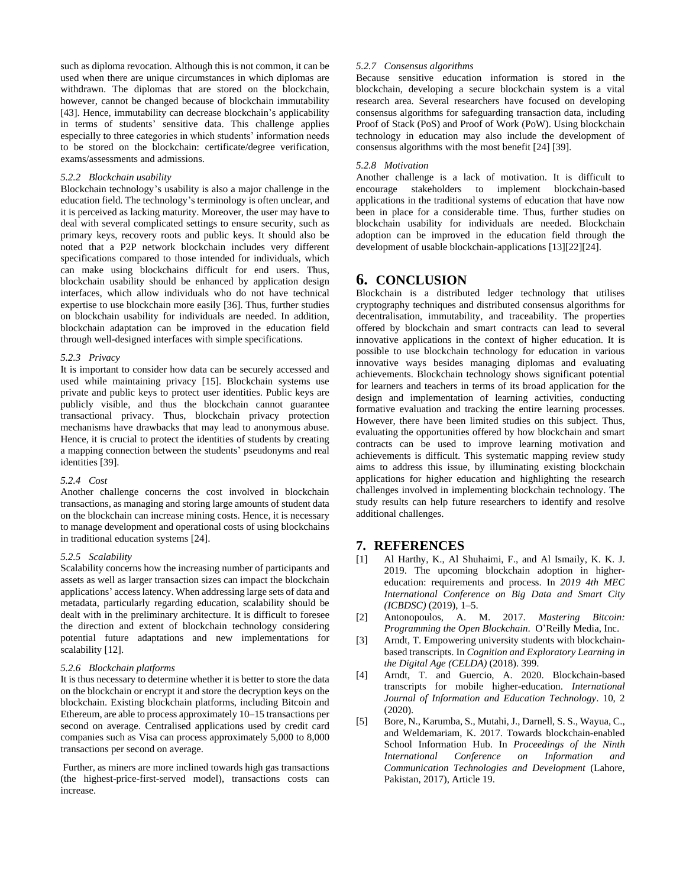such as diploma revocation. Although this is not common, it can be used when there are unique circumstances in which diplomas are withdrawn. The diplomas that are stored on the blockchain, however, cannot be changed because of blockchain immutability [43]. Hence, immutability can decrease blockchain's applicability in terms of students' sensitive data. This challenge applies especially to three categories in which students' information needs to be stored on the blockchain: certificate/degree verification, exams/assessments and admissions.

#### *5.2.2 Blockchain usability*

Blockchain technology's usability is also a major challenge in the education field. The technology's terminology is often unclear, and it is perceived as lacking maturity. Moreover, the user may have to deal with several complicated settings to ensure security, such as primary keys, recovery roots and public keys. It should also be noted that a P2P network blockchain includes very different specifications compared to those intended for individuals, which can make using blockchains difficult for end users. Thus, blockchain usability should be enhanced by application design interfaces, which allow individuals who do not have technical expertise to use blockchain more easily [36]. Thus, further studies on blockchain usability for individuals are needed. In addition, blockchain adaptation can be improved in the education field through well-designed interfaces with simple specifications.

#### *5.2.3 Privacy*

It is important to consider how data can be securely accessed and used while maintaining privacy [15]. Blockchain systems use private and public keys to protect user identities. Public keys are publicly visible, and thus the blockchain cannot guarantee transactional privacy. Thus, blockchain privacy protection mechanisms have drawbacks that may lead to anonymous abuse. Hence, it is crucial to protect the identities of students by creating a mapping connection between the students' pseudonyms and real identities [39].

## *5.2.4 Cost*

Another challenge concerns the cost involved in blockchain transactions, as managing and storing large amounts of student data on the blockchain can increase mining costs. Hence, it is necessary to manage development and operational costs of using blockchains in traditional education systems [24].

#### *5.2.5 Scalability*

Scalability concerns how the increasing number of participants and assets as well as larger transaction sizes can impact the blockchain applications' access latency. When addressing large sets of data and metadata, particularly regarding education, scalability should be dealt with in the preliminary architecture. It is difficult to foresee the direction and extent of blockchain technology considering potential future adaptations and new implementations for scalability [12].

#### *5.2.6 Blockchain platforms*

It is thus necessary to determine whether it is better to store the data on the blockchain or encrypt it and store the decryption keys on the blockchain. Existing blockchain platforms, including Bitcoin and Ethereum, are able to process approximately 10–15 transactions per second on average. Centralised applications used by credit card companies such as Visa can process approximately 5,000 to 8,000 transactions per second on average.

Further, as miners are more inclined towards high gas transactions (the highest-price-first-served model), transactions costs can increase.

#### *5.2.7 Consensus algorithms*

Because sensitive education information is stored in the blockchain, developing a secure blockchain system is a vital research area. Several researchers have focused on developing consensus algorithms for safeguarding transaction data, including Proof of Stack (PoS) and Proof of Work (PoW). Using blockchain technology in education may also include the development of consensus algorithms with the most benefit [24] [39].

#### *5.2.8 Motivation*

Another challenge is a lack of motivation. It is difficult to encourage stakeholders to implement blockchain-based applications in the traditional systems of education that have now been in place for a considerable time. Thus, further studies on blockchain usability for individuals are needed. Blockchain adoption can be improved in the education field through the development of usable blockchain-applications [13][22][24].

## **6. CONCLUSION**

Blockchain is a distributed ledger technology that utilises cryptography techniques and distributed consensus algorithms for decentralisation, immutability, and traceability. The properties offered by blockchain and smart contracts can lead to several innovative applications in the context of higher education. It is possible to use blockchain technology for education in various innovative ways besides managing diplomas and evaluating achievements. Blockchain technology shows significant potential for learners and teachers in terms of its broad application for the design and implementation of learning activities, conducting formative evaluation and tracking the entire learning processes. However, there have been limited studies on this subject. Thus, evaluating the opportunities offered by how blockchain and smart contracts can be used to improve learning motivation and achievements is difficult. This systematic mapping review study aims to address this issue, by illuminating existing blockchain applications for higher education and highlighting the research challenges involved in implementing blockchain technology. The study results can help future researchers to identify and resolve additional challenges.

## **7. REFERENCES**

- [1] Al Harthy, K., Al Shuhaimi, F., and Al Ismaily, K. K. J. 2019. The upcoming blockchain adoption in highereducation: requirements and process. In *2019 4th MEC International Conference on Big Data and Smart City (ICBDSC)* (2019), 1–5.
- [2] Antonopoulos, A. M. 2017. *Mastering Bitcoin: Programming the Open Blockchain*. O'Reilly Media, Inc.
- [3] Arndt, T. Empowering university students with blockchainbased transcripts. In *Cognition and Exploratory Learning in the Digital Age (CELDA)* (2018). 399.
- [4] Arndt, T. and Guercio, A. 2020. Blockchain-based transcripts for mobile higher-education. *International Journal of Information and Education Technology*. 10, 2 (2020).
- [5] Bore, N., Karumba, S., Mutahi, J., Darnell, S. S., Wayua, C., and Weldemariam, K. 2017. Towards blockchain-enabled School Information Hub. In *Proceedings of the Ninth International Conference on Information and Communication Technologies and Development* (Lahore, Pakistan, 2017), Article 19.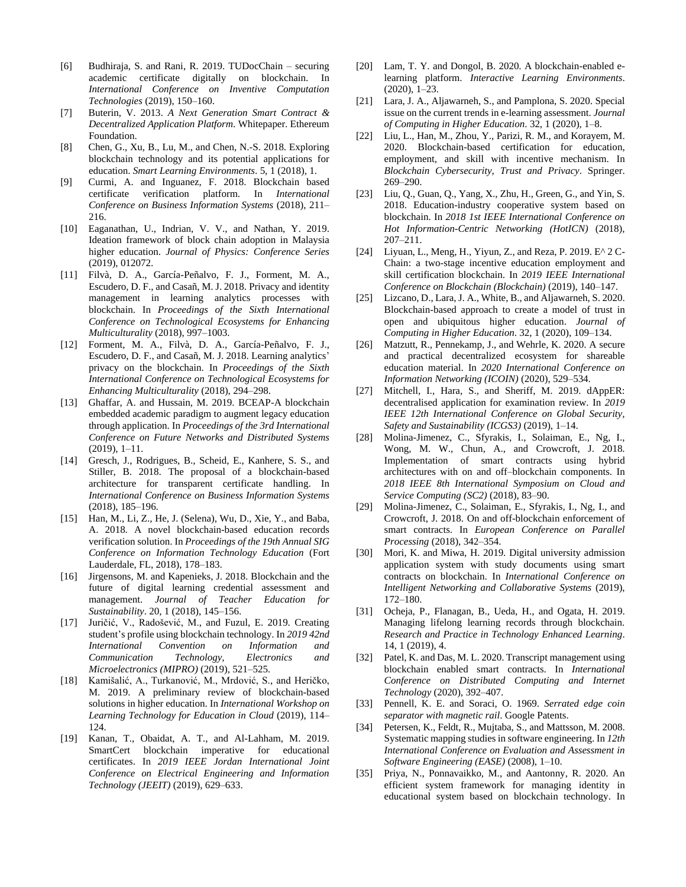- [6] Budhiraja, S. and Rani, R. 2019. TUDocChain securing academic certificate digitally on blockchain. In *International Conference on Inventive Computation Technologies* (2019), 150–160.
- [7] Buterin, V. 2013. *A Next Generation Smart Contract & Decentralized Application Platform*. Whitepaper. Ethereum Foundation.
- [8] Chen, G., Xu, B., Lu, M., and Chen, N.-S. 2018. Exploring blockchain technology and its potential applications for education. *Smart Learning Environments*. 5, 1 (2018), 1.
- [9] Curmi, A. and Inguanez, F. 2018. Blockchain based certificate verification platform. In *International Conference on Business Information Systems* (2018), 211– 216.
- [10] Eaganathan, U., Indrian, V. V., and Nathan, Y. 2019. Ideation framework of block chain adoption in Malaysia higher education. *Journal of Physics: Conference Series* (2019), 012072.
- [11] Filvà, D. A., García-Peñalvo, F. J., Forment, M. A., Escudero, D. F., and Casañ, M. J. 2018. Privacy and identity management in learning analytics processes with blockchain. In *Proceedings of the Sixth International Conference on Technological Ecosystems for Enhancing Multiculturality* (2018), 997–1003.
- [12] Forment, M. A., Filvà, D. A., García-Peñalvo, F. J., Escudero, D. F., and Casañ, M. J. 2018. Learning analytics' privacy on the blockchain. In *Proceedings of the Sixth International Conference on Technological Ecosystems for Enhancing Multiculturality* (2018), 294–298.
- [13] Ghaffar, A. and Hussain, M. 2019. BCEAP-A blockchain embedded academic paradigm to augment legacy education through application. In *Proceedings of the 3rd International Conference on Future Networks and Distributed Systems* (2019), 1–11.
- [14] Gresch, J., Rodrigues, B., Scheid, E., Kanhere, S. S., and Stiller, B. 2018. The proposal of a blockchain-based architecture for transparent certificate handling. In *International Conference on Business Information Systems* (2018), 185–196.
- [15] Han, M., Li, Z., He, J. (Selena), Wu, D., Xie, Y., and Baba, A. 2018. A novel blockchain-based education records verification solution. In *Proceedings of the 19th Annual SIG Conference on Information Technology Education* (Fort Lauderdale, FL, 2018), 178–183.
- [16] Jirgensons, M. and Kapenieks, J. 2018. Blockchain and the future of digital learning credential assessment and management. *Journal of Teacher Education for Sustainability*. 20, 1 (2018), 145–156.
- [17] Juričić, V., Radošević, M., and Fuzul, E. 2019. Creating student's profile using blockchain technology. In *2019 42nd International Convention on Information and Communication Technology, Electronics and Microelectronics (MIPRO)* (2019), 521–525.
- [18] Kamišalić, A., Turkanović, M., Mrdović, S., and Heričko, M. 2019. A preliminary review of blockchain-based solutions in higher education. In *International Workshop on Learning Technology for Education in Cloud* (2019), 114– 124.
- [19] Kanan, T., Obaidat, A. T., and Al-Lahham, M. 2019. SmartCert blockchain imperative for educational certificates. In *2019 IEEE Jordan International Joint Conference on Electrical Engineering and Information Technology (JEEIT)* (2019), 629–633.
- [20] Lam, T. Y. and Dongol, B. 2020. A blockchain-enabled elearning platform. *Interactive Learning Environments*. (2020), 1–23.
- [21] Lara, J. A., Aljawarneh, S., and Pamplona, S. 2020. Special issue on the current trends in e-learning assessment. *Journal of Computing in Higher Education*. 32, 1 (2020), 1–8.
- [22] Liu, L., Han, M., Zhou, Y., Parizi, R. M., and Korayem, M. 2020. Blockchain-based certification for education, employment, and skill with incentive mechanism. In *Blockchain Cybersecurity, Trust and Privacy*. Springer. 269–290.
- [23] Liu, Q., Guan, Q., Yang, X., Zhu, H., Green, G., and Yin, S. 2018. Education-industry cooperative system based on blockchain. In *2018 1st IEEE International Conference on Hot Information-Centric Networking (HotICN)* (2018), 207–211.
- [24] Liyuan, L., Meng, H., Yiyun, Z., and Reza, P. 2019. E^ 2 C-Chain: a two-stage incentive education employment and skill certification blockchain. In *2019 IEEE International Conference on Blockchain (Blockchain)* (2019), 140–147.
- [25] Lizcano, D., Lara, J. A., White, B., and Aljawarneh, S. 2020. Blockchain-based approach to create a model of trust in open and ubiquitous higher education. *Journal of Computing in Higher Education*. 32, 1 (2020), 109–134.
- [26] Matzutt, R., Pennekamp, J., and Wehrle, K. 2020. A secure and practical decentralized ecosystem for shareable education material. In *2020 International Conference on Information Networking (ICOIN)* (2020), 529–534.
- [27] Mitchell, I., Hara, S., and Sheriff, M. 2019. dAppER: decentralised application for examination review. In *2019 IEEE 12th International Conference on Global Security, Safety and Sustainability (ICGS3)* (2019), 1–14.
- [28] Molina-Jimenez, C., Sfyrakis, I., Solaiman, E., Ng, I., Wong, M. W., Chun, A., and Crowcroft, J. 2018. Implementation of smart contracts using hybrid architectures with on and off–blockchain components. In *2018 IEEE 8th International Symposium on Cloud and Service Computing (SC2)* (2018), 83–90.
- [29] Molina-Jimenez, C., Solaiman, E., Sfyrakis, I., Ng, I., and Crowcroft, J. 2018. On and off-blockchain enforcement of smart contracts. In *European Conference on Parallel Processing* (2018), 342–354.
- [30] Mori, K. and Miwa, H. 2019. Digital university admission application system with study documents using smart contracts on blockchain. In *International Conference on Intelligent Networking and Collaborative Systems* (2019), 172–180.
- [31] Ocheja, P., Flanagan, B., Ueda, H., and Ogata, H. 2019. Managing lifelong learning records through blockchain. *Research and Practice in Technology Enhanced Learning*. 14, 1 (2019), 4.
- [32] Patel, K. and Das, M. L. 2020. Transcript management using blockchain enabled smart contracts. In *International Conference on Distributed Computing and Internet Technology* (2020), 392–407.
- [33] Pennell, K. E. and Soraci, O. 1969. *Serrated edge coin separator with magnetic rail*. Google Patents.
- [34] Petersen, K., Feldt, R., Mujtaba, S., and Mattsson, M. 2008. Systematic mapping studies in software engineering. In *12th International Conference on Evaluation and Assessment in Software Engineering (EASE)* (2008), 1–10.
- [35] Priya, N., Ponnavaikko, M., and Aantonny, R. 2020. An efficient system framework for managing identity in educational system based on blockchain technology. In